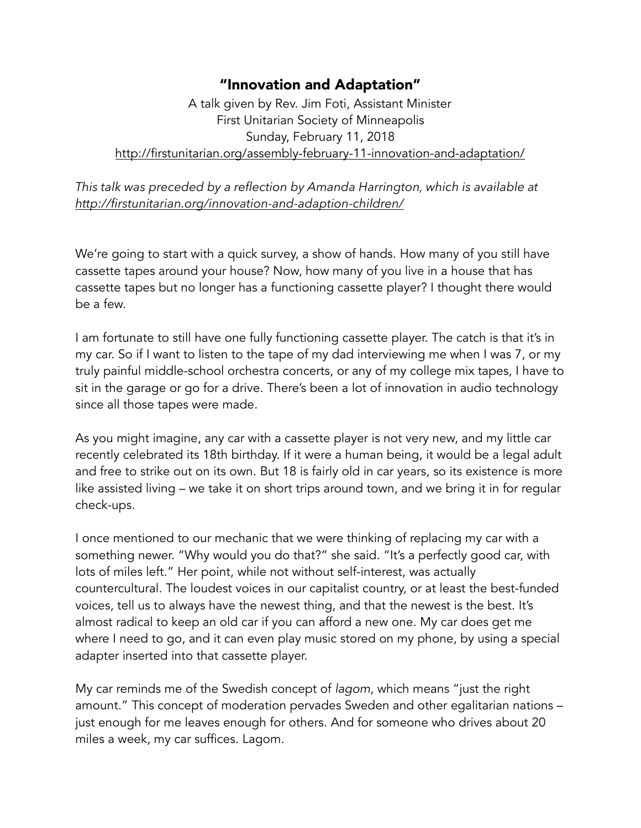## "Innovation and Adaptation"

A talk given by Rev. Jim Foti, Assistant Minister First Unitarian Society of Minneapolis Sunday, February 11, 2018 <http://firstunitarian.org/assembly-february-11-innovation-and-adaptation/>

*This talk was preceded by a reflection by Amanda Harrington, which is available at <http://firstunitarian.org/innovation-and-adaption-children/>*

We're going to start with a quick survey, a show of hands. How many of you still have cassette tapes around your house? Now, how many of you live in a house that has cassette tapes but no longer has a functioning cassette player? I thought there would be a few.

I am fortunate to still have one fully functioning cassette player. The catch is that it's in my car. So if I want to listen to the tape of my dad interviewing me when I was 7, or my truly painful middle-school orchestra concerts, or any of my college mix tapes, I have to sit in the garage or go for a drive. There's been a lot of innovation in audio technology since all those tapes were made.

As you might imagine, any car with a cassette player is not very new, and my little car recently celebrated its 18th birthday. If it were a human being, it would be a legal adult and free to strike out on its own. But 18 is fairly old in car years, so its existence is more like assisted living – we take it on short trips around town, and we bring it in for regular check-ups.

I once mentioned to our mechanic that we were thinking of replacing my car with a something newer. "Why would you do that?" she said. "It's a perfectly good car, with lots of miles left." Her point, while not without self-interest, was actually countercultural. The loudest voices in our capitalist country, or at least the best-funded voices, tell us to always have the newest thing, and that the newest is the best. It's almost radical to keep an old car if you can afford a new one. My car does get me where I need to go, and it can even play music stored on my phone, by using a special adapter inserted into that cassette player.

My car reminds me of the Swedish concept of *lagom*, which means "just the right amount." This concept of moderation pervades Sweden and other egalitarian nations – just enough for me leaves enough for others. And for someone who drives about 20 miles a week, my car suffices. Lagom.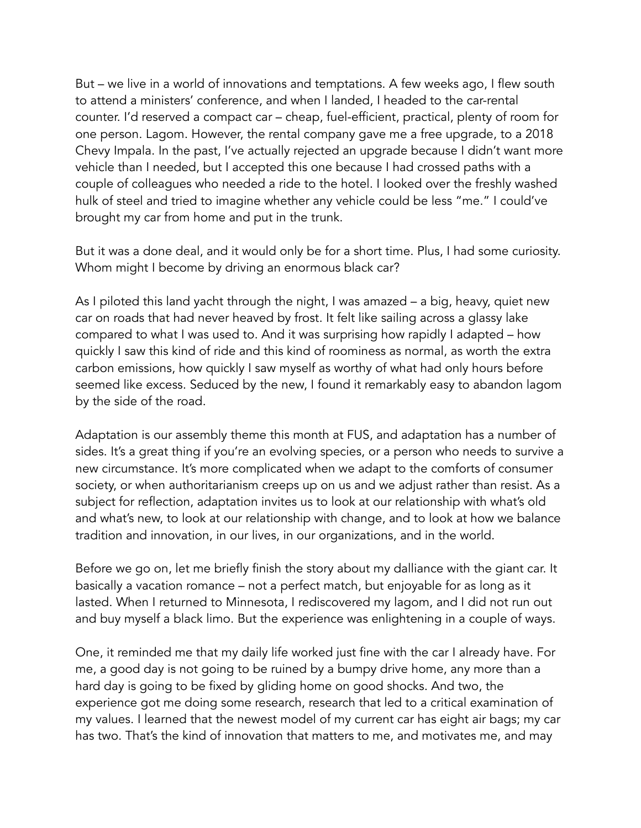But – we live in a world of innovations and temptations. A few weeks ago, I flew south to attend a ministers' conference, and when I landed, I headed to the car-rental counter. I'd reserved a compact car – cheap, fuel-efficient, practical, plenty of room for one person. Lagom. However, the rental company gave me a free upgrade, to a 2018 Chevy Impala. In the past, I've actually rejected an upgrade because I didn't want more vehicle than I needed, but I accepted this one because I had crossed paths with a couple of colleagues who needed a ride to the hotel. I looked over the freshly washed hulk of steel and tried to imagine whether any vehicle could be less "me." I could've brought my car from home and put in the trunk.

But it was a done deal, and it would only be for a short time. Plus, I had some curiosity. Whom might I become by driving an enormous black car?

As I piloted this land yacht through the night, I was amazed – a big, heavy, quiet new car on roads that had never heaved by frost. It felt like sailing across a glassy lake compared to what I was used to. And it was surprising how rapidly I adapted – how quickly I saw this kind of ride and this kind of roominess as normal, as worth the extra carbon emissions, how quickly I saw myself as worthy of what had only hours before seemed like excess. Seduced by the new, I found it remarkably easy to abandon lagom by the side of the road.

Adaptation is our assembly theme this month at FUS, and adaptation has a number of sides. It's a great thing if you're an evolving species, or a person who needs to survive a new circumstance. It's more complicated when we adapt to the comforts of consumer society, or when authoritarianism creeps up on us and we adjust rather than resist. As a subject for reflection, adaptation invites us to look at our relationship with what's old and what's new, to look at our relationship with change, and to look at how we balance tradition and innovation, in our lives, in our organizations, and in the world.

Before we go on, let me briefly finish the story about my dalliance with the giant car. It basically a vacation romance – not a perfect match, but enjoyable for as long as it lasted. When I returned to Minnesota, I rediscovered my lagom, and I did not run out and buy myself a black limo. But the experience was enlightening in a couple of ways.

One, it reminded me that my daily life worked just fine with the car I already have. For me, a good day is not going to be ruined by a bumpy drive home, any more than a hard day is going to be fixed by gliding home on good shocks. And two, the experience got me doing some research, research that led to a critical examination of my values. I learned that the newest model of my current car has eight air bags; my car has two. That's the kind of innovation that matters to me, and motivates me, and may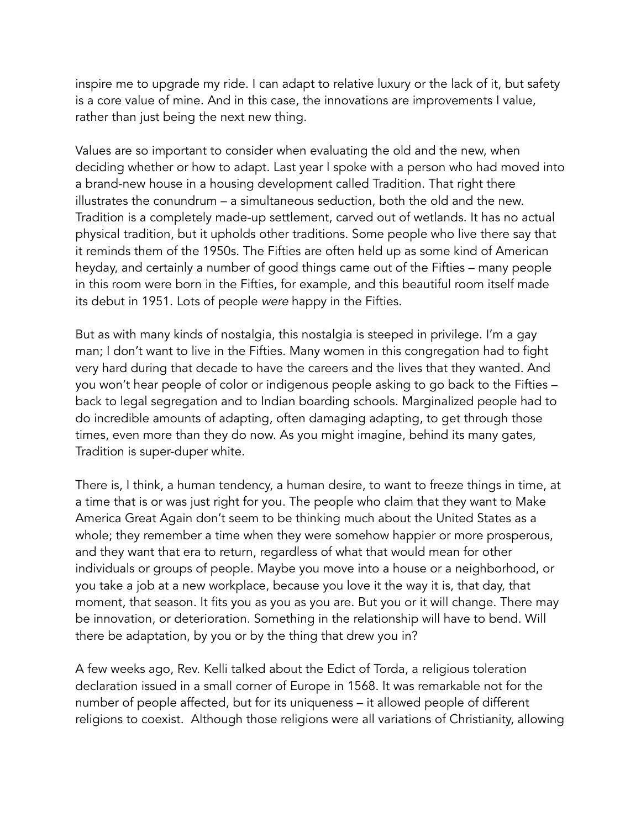inspire me to upgrade my ride. I can adapt to relative luxury or the lack of it, but safety is a core value of mine. And in this case, the innovations are improvements I value, rather than just being the next new thing.

Values are so important to consider when evaluating the old and the new, when deciding whether or how to adapt. Last year I spoke with a person who had moved into a brand-new house in a housing development called Tradition. That right there illustrates the conundrum – a simultaneous seduction, both the old and the new. Tradition is a completely made-up settlement, carved out of wetlands. It has no actual physical tradition, but it upholds other traditions. Some people who live there say that it reminds them of the 1950s. The Fifties are often held up as some kind of American heyday, and certainly a number of good things came out of the Fifties – many people in this room were born in the Fifties, for example, and this beautiful room itself made its debut in 1951. Lots of people *were* happy in the Fifties.

But as with many kinds of nostalgia, this nostalgia is steeped in privilege. I'm a gay man; I don't want to live in the Fifties. Many women in this congregation had to fight very hard during that decade to have the careers and the lives that they wanted. And you won't hear people of color or indigenous people asking to go back to the Fifties – back to legal segregation and to Indian boarding schools. Marginalized people had to do incredible amounts of adapting, often damaging adapting, to get through those times, even more than they do now. As you might imagine, behind its many gates, Tradition is super-duper white.

There is, I think, a human tendency, a human desire, to want to freeze things in time, at a time that is or was just right for you. The people who claim that they want to Make America Great Again don't seem to be thinking much about the United States as a whole; they remember a time when they were somehow happier or more prosperous, and they want that era to return, regardless of what that would mean for other individuals or groups of people. Maybe you move into a house or a neighborhood, or you take a job at a new workplace, because you love it the way it is, that day, that moment, that season. It fits you as you as you are. But you or it will change. There may be innovation, or deterioration. Something in the relationship will have to bend. Will there be adaptation, by you or by the thing that drew you in?

A few weeks ago, Rev. Kelli talked about the Edict of Torda, a religious toleration declaration issued in a small corner of Europe in 1568. It was remarkable not for the number of people affected, but for its uniqueness – it allowed people of different religions to coexist. Although those religions were all variations of Christianity, allowing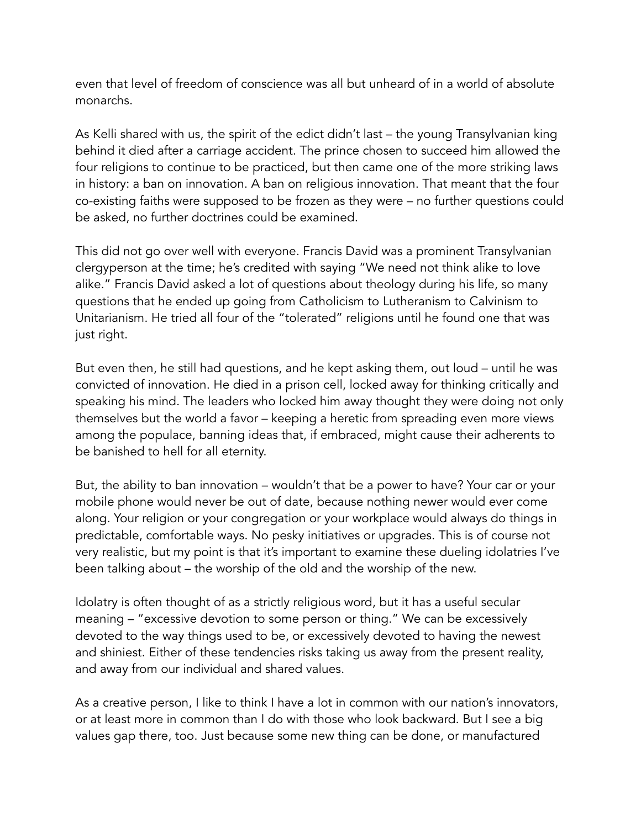even that level of freedom of conscience was all but unheard of in a world of absolute monarchs.

As Kelli shared with us, the spirit of the edict didn't last – the young Transylvanian king behind it died after a carriage accident. The prince chosen to succeed him allowed the four religions to continue to be practiced, but then came one of the more striking laws in history: a ban on innovation. A ban on religious innovation. That meant that the four co-existing faiths were supposed to be frozen as they were – no further questions could be asked, no further doctrines could be examined.

This did not go over well with everyone. Francis David was a prominent Transylvanian clergyperson at the time; he's credited with saying "We need not think alike to love alike." Francis David asked a lot of questions about theology during his life, so many questions that he ended up going from Catholicism to Lutheranism to Calvinism to Unitarianism. He tried all four of the "tolerated" religions until he found one that was just right.

But even then, he still had questions, and he kept asking them, out loud – until he was convicted of innovation. He died in a prison cell, locked away for thinking critically and speaking his mind. The leaders who locked him away thought they were doing not only themselves but the world a favor – keeping a heretic from spreading even more views among the populace, banning ideas that, if embraced, might cause their adherents to be banished to hell for all eternity.

But, the ability to ban innovation – wouldn't that be a power to have? Your car or your mobile phone would never be out of date, because nothing newer would ever come along. Your religion or your congregation or your workplace would always do things in predictable, comfortable ways. No pesky initiatives or upgrades. This is of course not very realistic, but my point is that it's important to examine these dueling idolatries I've been talking about – the worship of the old and the worship of the new.

Idolatry is often thought of as a strictly religious word, but it has a useful secular meaning – "excessive devotion to some person or thing." We can be excessively devoted to the way things used to be, or excessively devoted to having the newest and shiniest. Either of these tendencies risks taking us away from the present reality, and away from our individual and shared values.

As a creative person, I like to think I have a lot in common with our nation's innovators, or at least more in common than I do with those who look backward. But I see a big values gap there, too. Just because some new thing can be done, or manufactured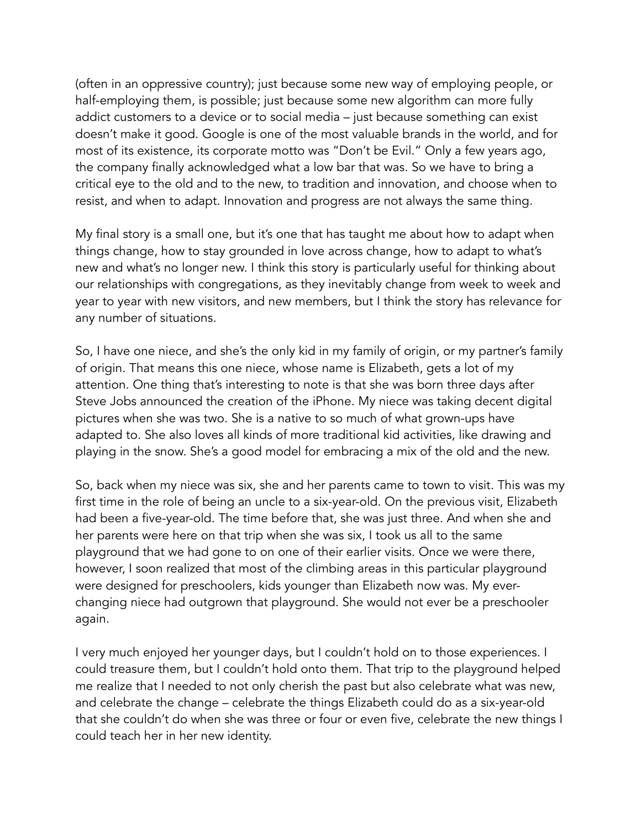(often in an oppressive country); just because some new way of employing people, or half-employing them, is possible; just because some new algorithm can more fully addict customers to a device or to social media – just because something can exist doesn't make it good. Google is one of the most valuable brands in the world, and for most of its existence, its corporate motto was "Don't be Evil." Only a few years ago, the company finally acknowledged what a low bar that was. So we have to bring a critical eye to the old and to the new, to tradition and innovation, and choose when to resist, and when to adapt. Innovation and progress are not always the same thing.

My final story is a small one, but it's one that has taught me about how to adapt when things change, how to stay grounded in love across change, how to adapt to what's new and what's no longer new. I think this story is particularly useful for thinking about our relationships with congregations, as they inevitably change from week to week and year to year with new visitors, and new members, but I think the story has relevance for any number of situations.

So, I have one niece, and she's the only kid in my family of origin, or my partner's family of origin. That means this one niece, whose name is Elizabeth, gets a lot of my attention. One thing that's interesting to note is that she was born three days after Steve Jobs announced the creation of the iPhone. My niece was taking decent digital pictures when she was two. She is a native to so much of what grown-ups have adapted to. She also loves all kinds of more traditional kid activities, like drawing and playing in the snow. She's a good model for embracing a mix of the old and the new.

So, back when my niece was six, she and her parents came to town to visit. This was my first time in the role of being an uncle to a six-year-old. On the previous visit, Elizabeth had been a five-year-old. The time before that, she was just three. And when she and her parents were here on that trip when she was six, I took us all to the same playground that we had gone to on one of their earlier visits. Once we were there, however, I soon realized that most of the climbing areas in this particular playground were designed for preschoolers, kids younger than Elizabeth now was. My everchanging niece had outgrown that playground. She would not ever be a preschooler again.

I very much enjoyed her younger days, but I couldn't hold on to those experiences. I could treasure them, but I couldn't hold onto them. That trip to the playground helped me realize that I needed to not only cherish the past but also celebrate what was new, and celebrate the change – celebrate the things Elizabeth could do as a six-year-old that she couldn't do when she was three or four or even five, celebrate the new things I could teach her in her new identity.